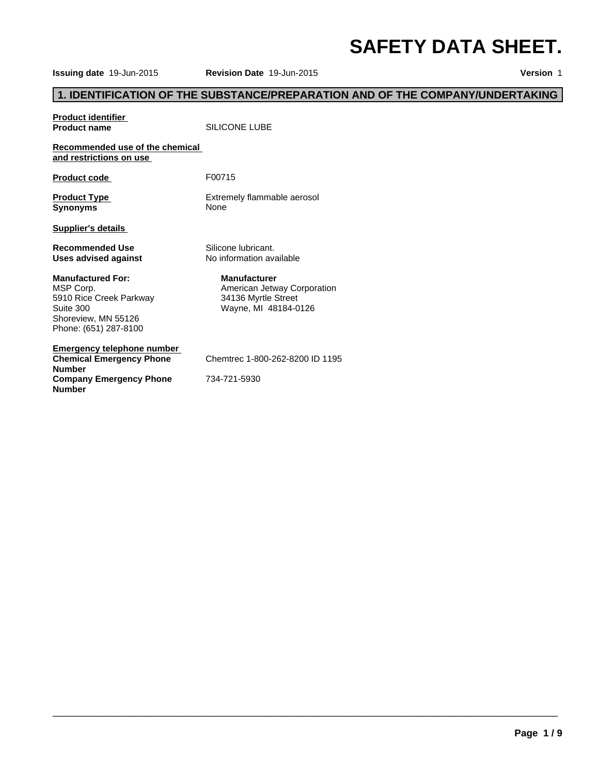# **SAFETY DATA SHEET.**

**Issuing date** 19-Jun-2015 **Revision Date** 19-Jun-2015 **Version** 1

# **1. IDENTIFICATION OF THE SUBSTANCE/PREPARATION AND OF THE COMPANY/UNDERTAKING**

# **Product identifier**<br>**Product name**

**SILICONE LUBE** 

#### **Recommended use of the chemical and restrictions on use**

Product code F00715

**Synonyms** None

**Product Type Extremely flammable aerosol** 

**Supplier's details** 

**Uses advised against** 

#### **Manufactured For:**

MSP Corp. 5910 Rice Creek Parkway Suite 300 Shoreview, MN 55126 Phone: (651) 287-8100

**Emergency telephone number Chemical Emergency Phone Number Company Emergency Phone Number**

**Recommended Use** Silicone lubricant.<br> **Uses advised against** No information available

**Manufacturer** American Jetway Corporation 34136 Myrtle Street Wayne, MI 48184-0126

Chemtrec 1-800-262-8200 ID 1195

 $\overline{\phantom{a}}$  ,  $\overline{\phantom{a}}$  ,  $\overline{\phantom{a}}$  ,  $\overline{\phantom{a}}$  ,  $\overline{\phantom{a}}$  ,  $\overline{\phantom{a}}$  ,  $\overline{\phantom{a}}$  ,  $\overline{\phantom{a}}$  ,  $\overline{\phantom{a}}$  ,  $\overline{\phantom{a}}$  ,  $\overline{\phantom{a}}$  ,  $\overline{\phantom{a}}$  ,  $\overline{\phantom{a}}$  ,  $\overline{\phantom{a}}$  ,  $\overline{\phantom{a}}$  ,  $\overline{\phantom{a}}$ 

734-721-5930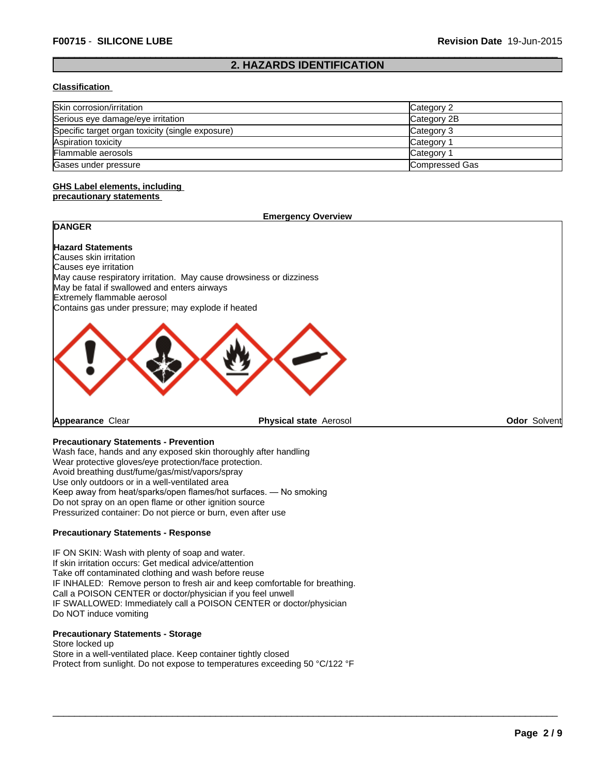# **2. HAZARDS IDENTIFICATION**

#### **Classification**

| Skin corrosion/irritation                        | Category 2     |
|--------------------------------------------------|----------------|
| Serious eye damage/eye irritation                | Category 2B    |
| Specific target organ toxicity (single exposure) | Category 3     |
| Aspiration toxicity                              | Category       |
| Flammable aerosols                               | Category       |
| Gases under pressure                             | Compressed Gas |

#### **GHS Label elements, including precautionary statements**

# **DANGER**

**Emergency Overview**

#### **Hazard Statements**

Causes skin irritation Causes eye irritation May cause respiratory irritation. May cause drowsiness or dizziness May be fatal if swallowed and enters airways Extremely flammable aerosol Contains gas under pressure; may explode if heated



**Appearance** Clear

**Physical state** Aerosol **Odor Solvent** 

 $\overline{\phantom{a}}$  ,  $\overline{\phantom{a}}$  ,  $\overline{\phantom{a}}$  ,  $\overline{\phantom{a}}$  ,  $\overline{\phantom{a}}$  ,  $\overline{\phantom{a}}$  ,  $\overline{\phantom{a}}$  ,  $\overline{\phantom{a}}$  ,  $\overline{\phantom{a}}$  ,  $\overline{\phantom{a}}$  ,  $\overline{\phantom{a}}$  ,  $\overline{\phantom{a}}$  ,  $\overline{\phantom{a}}$  ,  $\overline{\phantom{a}}$  ,  $\overline{\phantom{a}}$  ,  $\overline{\phantom{a}}$ 

### **Precautionary Statements - Prevention**

Wash face, hands and any exposed skin thoroughly after handling Wear protective gloves/eye protection/face protection. Avoid breathing dust/fume/gas/mist/vapors/spray Use only outdoors or in a well-ventilated area Keep away from heat/sparks/open flames/hot surfaces. — No smoking Do not spray on an open flame or other ignition source Pressurized container: Do not pierce or burn, even after use

#### **Precautionary Statements - Response**

IF ON SKIN: Wash with plenty of soap and water. If skin irritation occurs: Get medical advice/attention Take off contaminated clothing and wash before reuse IF INHALED: Remove person to fresh air and keep comfortable for breathing. Call a POISON CENTER or doctor/physician if you feel unwell IF SWALLOWED: Immediately call a POISON CENTER or doctor/physician Do NOT induce vomiting

#### **Precautionary Statements - Storage**

Store locked up Store in a well-ventilated place. Keep container tightly closed Protect from sunlight. Do not expose to temperatures exceeding 50 °C/122 °F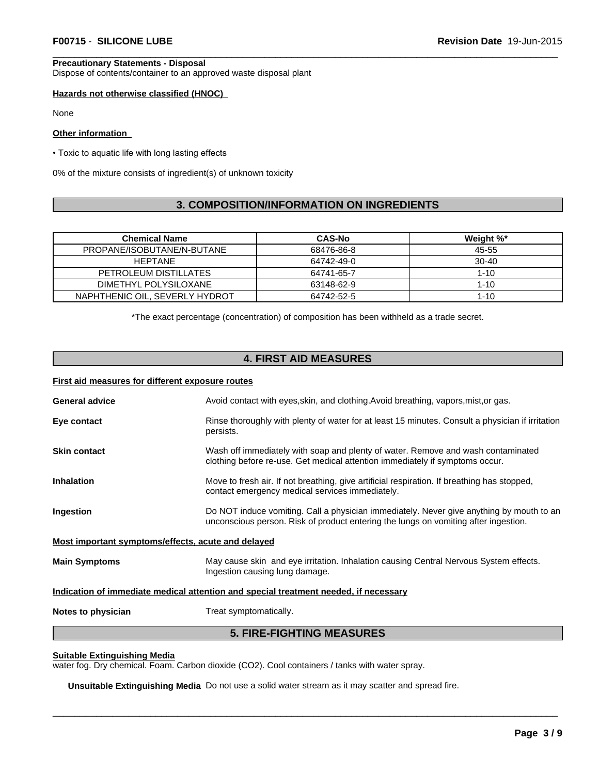#### **Precautionary Statements - Disposal**

Dispose of contents/container to an approved waste disposal plant

#### **Hazards not otherwise classified (HNOC)**

None

#### **Other information**

• Toxic to aquatic life with long lasting effects

0% of the mixture consists of ingredient(s) of unknown toxicity

# **3. COMPOSITION/INFORMATION ON INGREDIENTS**

| Chemical Name                  | <b>CAS-No</b> | Weight %* |
|--------------------------------|---------------|-----------|
| PROPANE/ISOBUTANE/N-BUTANE     | 68476-86-8    | 45-55     |
| <b>HFPTANF</b>                 | 64742-49-0    | $30-40$   |
| PETROLEUM DISTILLATES          | 64741-65-7    | $1 - 10$  |
| DIMETHYL POLYSILOXANE          | 63148-62-9    | $1 - 10$  |
| NAPHTHENIC OIL, SEVERLY HYDROT | 64742-52-5    | $1 - 10$  |

\*The exact percentage (concentration) of composition has been withheld as a trade secret.

# **4. FIRST AID MEASURES**

#### **First aid measures for different exposure routes**

| <b>General advice</b>                                                                                                                           | Avoid contact with eyes, skin, and clothing. Avoid breathing, vapors, mist, or gas.                                                                                             |  |  |
|-------------------------------------------------------------------------------------------------------------------------------------------------|---------------------------------------------------------------------------------------------------------------------------------------------------------------------------------|--|--|
| Eye contact                                                                                                                                     | Rinse thoroughly with plenty of water for at least 15 minutes. Consult a physician if irritation<br>persists.                                                                   |  |  |
| <b>Skin contact</b>                                                                                                                             | Wash off immediately with soap and plenty of water. Remove and wash contaminated<br>clothing before re-use. Get medical attention immediately if symptoms occur.                |  |  |
| <b>Inhalation</b>                                                                                                                               | Move to fresh air. If not breathing, give artificial respiration. If breathing has stopped,<br>contact emergency medical services immediately.                                  |  |  |
| Ingestion                                                                                                                                       | Do NOT induce vomiting. Call a physician immediately. Never give anything by mouth to an<br>unconscious person. Risk of product entering the lungs on vomiting after ingestion. |  |  |
| Most important symptoms/effects, acute and delayed                                                                                              |                                                                                                                                                                                 |  |  |
| <b>Main Symptoms</b><br>May cause skin and eye irritation. Inhalation causing Central Nervous System effects.<br>Ingestion causing lung damage. |                                                                                                                                                                                 |  |  |
|                                                                                                                                                 | Indication of immediate medical attention and special treatment needed, if necessary                                                                                            |  |  |
| Notes to physician                                                                                                                              | Treat symptomatically.                                                                                                                                                          |  |  |
|                                                                                                                                                 |                                                                                                                                                                                 |  |  |

# **5. FIRE-FIGHTING MEASURES**

 $\overline{\phantom{a}}$  ,  $\overline{\phantom{a}}$  ,  $\overline{\phantom{a}}$  ,  $\overline{\phantom{a}}$  ,  $\overline{\phantom{a}}$  ,  $\overline{\phantom{a}}$  ,  $\overline{\phantom{a}}$  ,  $\overline{\phantom{a}}$  ,  $\overline{\phantom{a}}$  ,  $\overline{\phantom{a}}$  ,  $\overline{\phantom{a}}$  ,  $\overline{\phantom{a}}$  ,  $\overline{\phantom{a}}$  ,  $\overline{\phantom{a}}$  ,  $\overline{\phantom{a}}$  ,  $\overline{\phantom{a}}$ 

#### **Suitable Extinguishing Media**

water fog. Dry chemical. Foam. Carbon dioxide (CO2). Cool containers / tanks with water spray.

**Unsuitable Extinguishing Media** Do not use a solid water stream as it may scatter and spread fire.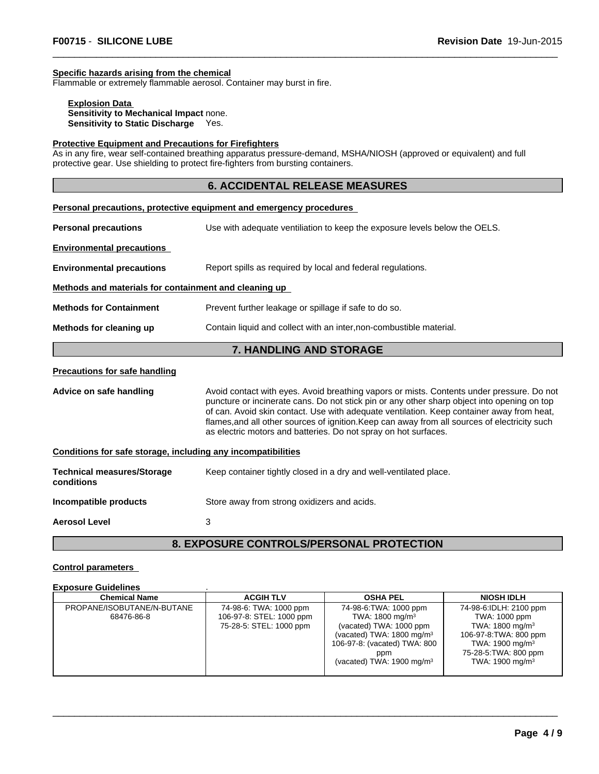# **Specific hazards arising from the chemical**

Flammable or extremely flammable aerosol. Container may burst in fire.

#### **Explosion Data Sensitivity to Mechanical Impact** none. **Sensitivity to Static Discharge** Yes.

#### **Protective Equipment and Precautions for Firefighters**

As in any fire, wear self-contained breathing apparatus pressure-demand, MSHA/NIOSH (approved or equivalent) and full protective gear. Use shielding to protect fire-fighters from bursting containers.

## **6. ACCIDENTAL RELEASE MEASURES**

|                                                                                                | Personal precautions, protective equipment and emergency procedures                                                                                                                                                                                                                                                                                                                                                                                       |  |  |
|------------------------------------------------------------------------------------------------|-----------------------------------------------------------------------------------------------------------------------------------------------------------------------------------------------------------------------------------------------------------------------------------------------------------------------------------------------------------------------------------------------------------------------------------------------------------|--|--|
| <b>Personal precautions</b>                                                                    | Use with adequate ventiliation to keep the exposure levels below the OELS.                                                                                                                                                                                                                                                                                                                                                                                |  |  |
| <b>Environmental precautions</b>                                                               |                                                                                                                                                                                                                                                                                                                                                                                                                                                           |  |  |
| <b>Environmental precautions</b>                                                               | Report spills as required by local and federal regulations.                                                                                                                                                                                                                                                                                                                                                                                               |  |  |
| Methods and materials for containment and cleaning up                                          |                                                                                                                                                                                                                                                                                                                                                                                                                                                           |  |  |
| <b>Methods for Containment</b>                                                                 | Prevent further leakage or spillage if safe to do so.                                                                                                                                                                                                                                                                                                                                                                                                     |  |  |
| Contain liquid and collect with an inter, non-combustible material.<br>Methods for cleaning up |                                                                                                                                                                                                                                                                                                                                                                                                                                                           |  |  |
|                                                                                                | <b>7. HANDLING AND STORAGE</b>                                                                                                                                                                                                                                                                                                                                                                                                                            |  |  |
| <b>Precautions for safe handling</b>                                                           |                                                                                                                                                                                                                                                                                                                                                                                                                                                           |  |  |
| Advice on safe handling                                                                        | Avoid contact with eyes. Avoid breathing vapors or mists. Contents under pressure. Do not<br>puncture or incinerate cans. Do not stick pin or any other sharp object into opening on top<br>of can. Avoid skin contact. Use with adequate ventilation. Keep container away from heat,<br>flames, and all other sources of ignition. Keep can away from all sources of electricity such<br>as electric motors and batteries. Do not spray on hot surfaces. |  |  |
| Conditions for safe storage, including any incompatibilities                                   |                                                                                                                                                                                                                                                                                                                                                                                                                                                           |  |  |
| <b>Technical measures/Storage</b><br>conditions                                                | Keep container tightly closed in a dry and well-ventilated place.                                                                                                                                                                                                                                                                                                                                                                                         |  |  |
| Incompatible products                                                                          | Store away from strong oxidizers and acids.                                                                                                                                                                                                                                                                                                                                                                                                               |  |  |
| <b>Aerosol Level</b>                                                                           | 3                                                                                                                                                                                                                                                                                                                                                                                                                                                         |  |  |

**8. EXPOSURE CONTROLS/PERSONAL PROTECTION**

#### **Control parameters**

#### **Exposure Guidelines** .

| <b>Chemical Name</b>       | <b>ACGIH TLV</b>         | <b>OSHA PEL</b>                      | <b>NIOSH IDLH</b>           |
|----------------------------|--------------------------|--------------------------------------|-----------------------------|
| PROPANE/ISOBUTANE/N-BUTANE | 74-98-6: TWA: 1000 ppm   | 74-98-6: TWA: 1000 ppm               | 74-98-6:IDLH: 2100 ppm      |
| 68476-86-8                 | 106-97-8: STEL: 1000 ppm | TWA: 1800 mg/m <sup>3</sup>          | TWA: 1000 ppm               |
|                            | 75-28-5: STEL: 1000 ppm  | (vacated) TWA: 1000 ppm              | TWA: $1800 \text{ mg/m}^3$  |
|                            |                          | (vacated) TWA: $1800 \text{ mg/m}^3$ | 106-97-8: TWA: 800 ppm      |
|                            |                          | 106-97-8: (vacated) TWA: 800         | TWA: 1900 mg/m <sup>3</sup> |
|                            |                          | ppm                                  | 75-28-5: TWA: 800 ppm       |
|                            |                          | (vacated) TWA: $1900 \text{ mg/m}^3$ | TWA: $1900 \text{ mg/m}^3$  |
|                            |                          |                                      |                             |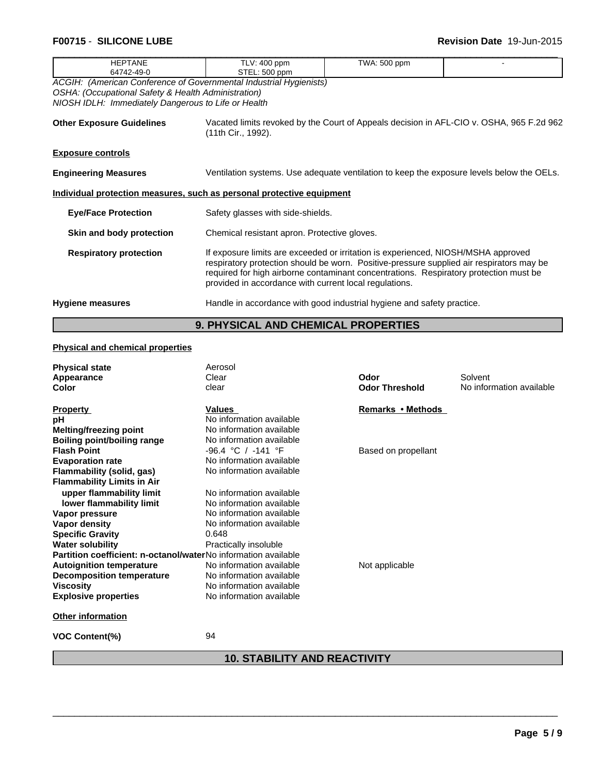| <b>F00715 - SILICONE LUBE</b>                                                                                                                                                    |                                                                                                                                                                                                                                                                                                                                  |              | <b>Revision Date 19-Jun-2015</b>                                                          |
|----------------------------------------------------------------------------------------------------------------------------------------------------------------------------------|----------------------------------------------------------------------------------------------------------------------------------------------------------------------------------------------------------------------------------------------------------------------------------------------------------------------------------|--------------|-------------------------------------------------------------------------------------------|
| <b>HEPTANE</b><br>64742-49-0                                                                                                                                                     | TLV: 400 ppm<br>STEL: 500 ppm                                                                                                                                                                                                                                                                                                    | TWA: 500 ppm |                                                                                           |
| ACGIH: (American Conference of Governmental Industrial Hygienists)<br>OSHA: (Occupational Safety & Health Administration)<br>NIOSH IDLH: Immediately Dangerous to Life or Health |                                                                                                                                                                                                                                                                                                                                  |              |                                                                                           |
| <b>Other Exposure Guidelines</b>                                                                                                                                                 | (11th Cir., 1992).                                                                                                                                                                                                                                                                                                               |              | Vacated limits revoked by the Court of Appeals decision in AFL-CIO v. OSHA, 965 F.2d 962  |
| <b>Exposure controls</b>                                                                                                                                                         |                                                                                                                                                                                                                                                                                                                                  |              |                                                                                           |
| <b>Engineering Measures</b>                                                                                                                                                      |                                                                                                                                                                                                                                                                                                                                  |              | Ventilation systems. Use adequate ventilation to keep the exposure levels below the OELs. |
| Individual protection measures, such as personal protective equipment                                                                                                            |                                                                                                                                                                                                                                                                                                                                  |              |                                                                                           |
| <b>Eye/Face Protection</b>                                                                                                                                                       | Safety glasses with side-shields.                                                                                                                                                                                                                                                                                                |              |                                                                                           |
| Skin and body protection                                                                                                                                                         | Chemical resistant apron. Protective gloves.                                                                                                                                                                                                                                                                                     |              |                                                                                           |
| <b>Respiratory protection</b>                                                                                                                                                    | If exposure limits are exceeded or irritation is experienced, NIOSH/MSHA approved<br>respiratory protection should be worn. Positive-pressure supplied air respirators may be<br>required for high airborne contaminant concentrations. Respiratory protection must be<br>provided in accordance with current local regulations. |              |                                                                                           |
| <b>Hygiene measures</b>                                                                                                                                                          | Handle in accordance with good industrial hygiene and safety practice.                                                                                                                                                                                                                                                           |              |                                                                                           |
|                                                                                                                                                                                  |                                                                                                                                                                                                                                                                                                                                  |              |                                                                                           |

# **9. PHYSICAL AND CHEMICAL PROPERTIES**

# **Physical and chemical properties**

| <b>Physical state</b>                                          | Aerosol                  |                       |                          |
|----------------------------------------------------------------|--------------------------|-----------------------|--------------------------|
| Appearance                                                     | Clear                    | Odor                  | Solvent                  |
| Color                                                          | clear                    | <b>Odor Threshold</b> | No information available |
| <b>Property</b>                                                | Values                   | Remarks • Methods     |                          |
| рH                                                             | No information available |                       |                          |
| Melting/freezing point                                         | No information available |                       |                          |
| <b>Boiling point/boiling range</b>                             | No information available |                       |                          |
| <b>Flash Point</b>                                             | $-96.4 °C$ / $-141 °F$   | Based on propellant   |                          |
| <b>Evaporation rate</b>                                        | No information available |                       |                          |
| Flammability (solid, gas)                                      | No information available |                       |                          |
| <b>Flammability Limits in Air</b>                              |                          |                       |                          |
| upper flammability limit                                       | No information available |                       |                          |
| lower flammability limit                                       | No information available |                       |                          |
| Vapor pressure                                                 | No information available |                       |                          |
| Vapor density                                                  | No information available |                       |                          |
| <b>Specific Gravity</b>                                        | 0.648                    |                       |                          |
| <b>Water solubility</b>                                        | Practically insoluble    |                       |                          |
| Partition coefficient: n-octanol/waterNo information available |                          |                       |                          |
| <b>Autoignition temperature</b>                                | No information available | Not applicable        |                          |
| <b>Decomposition temperature</b>                               | No information available |                       |                          |
| <b>Viscosity</b>                                               | No information available |                       |                          |
| <b>Explosive properties</b>                                    | No information available |                       |                          |
| <b>Other information</b>                                       |                          |                       |                          |
| <b>VOC Content(%)</b>                                          | 94                       |                       |                          |
|                                                                |                          |                       |                          |

# **10. STABILITY AND REACTIVITY**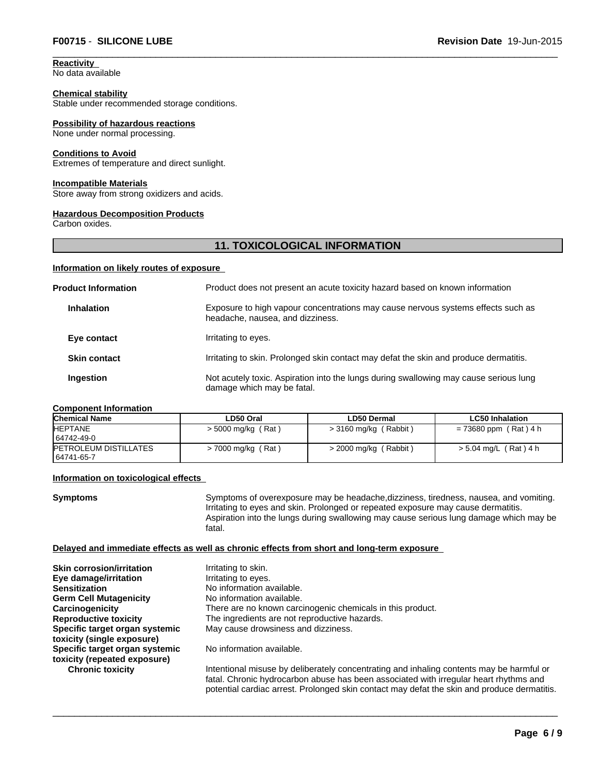**Reactivity**  No data available

#### **Chemical stability**

Stable under recommended storage conditions.

#### **Possibility of hazardous reactions**

None under normal processing.

#### **Conditions to Avoid**

Extremes of temperature and direct sunlight.

#### **Incompatible Materials**

Store away from strong oxidizers and acids.

#### **Hazardous Decomposition Products**

Carbon oxides.

#### **11. TOXICOLOGICAL INFORMATION**

#### **Information on likely routes of exposure**

| <b>Product Information</b> | Product does not present an acute toxicity hazard based on known information                                         |
|----------------------------|----------------------------------------------------------------------------------------------------------------------|
| <b>Inhalation</b>          | Exposure to high vapour concentrations may cause nervous systems effects such as<br>headache, nausea, and dizziness. |
| Eye contact                | Irritating to eyes.                                                                                                  |
| <b>Skin contact</b>        | Irritating to skin. Prolonged skin contact may defat the skin and produce dermatitis.                                |
| <b>Ingestion</b>           | Not acutely toxic. Aspiration into the lungs during swallowing may cause serious lung<br>damage which may be fatal.  |

#### **Component Information**

| <b>Chemical Name</b>                        | LD50 Oral            | LD50 Dermal             | <b>LC50 Inhalation</b> |
|---------------------------------------------|----------------------|-------------------------|------------------------|
| <b>HEPTANE</b>                              | $>$ 5000 mg/kg (Rat) | $>$ 3160 mg/kg (Rabbit) | = 73680 ppm (Rat) 4 h  |
| 64742-49-0                                  |                      |                         |                        |
| <b>IPETROLEUM DISTILLATES</b><br>64741-65-7 | $>$ 7000 mg/kg (Rat) | $>$ 2000 mg/kg (Rabbit) | >5.04 mg/L (Rat)4 h    |

#### **Information on toxicological effects**

**Symptoms** Symptoms of overexposure may be headache,dizziness, tiredness, nausea, and vomiting. Irritating to eyes and skin. Prolonged or repeated exposure may cause dermatitis. Aspiration into the lungs during swallowing may cause serious lung damage which may be fatal.

### **Delayed and immediate effects as well as chronic effects from short and long-term exposure**

| <b>Skin corrosion/irritation</b> | Irritating to skin.                                                       |
|----------------------------------|---------------------------------------------------------------------------|
| Eye damage/irritation            | Irritating to eyes.                                                       |
| <b>Sensitization</b>             | No information available.                                                 |
| <b>Germ Cell Mutagenicity</b>    | No information available.                                                 |
| Carcinogenicity                  | There are no known carcinogenic chemicals in this product.                |
| <b>Reproductive toxicity</b>     | The ingredients are not reproductive hazards.                             |
| Specific target organ systemic   | May cause drowsiness and dizziness.                                       |
| toxicity (single exposure)       |                                                                           |
| Specific target organ systemic   | No information available.                                                 |
| toxicity (repeated exposure)     |                                                                           |
| <b>Chronic toxicity</b>          | Intentional misuse by deliberately concentrating and inhaling contents ma |
|                                  | fetal. Okazais kudas saaksa skuss kas kasa saasaisted uutkimeendas kasu   |

Intertional median median<br>By deliberation fatal. Chronic hydrocarbon abuse has been associated with irregular heart rhythms and potential cardiac arrest. Prolonged skin contact may defat the skin and produce dermatitis.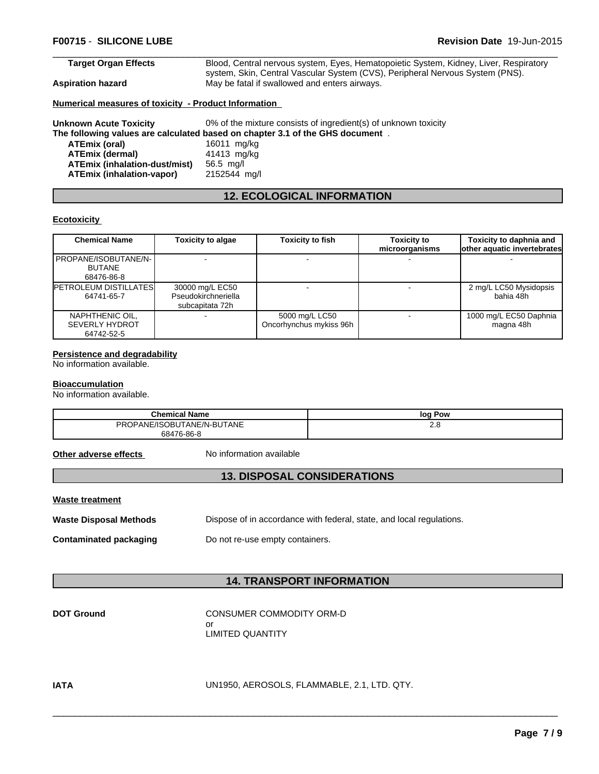### **Target Organ Effects** Blood, Central nervous system, Eyes, Hematopoietic System, Kidney, Liver, Respiratory

system, Skin, Central Vascular System (CVS), Peripheral Nervous System (PNS). **Aspiration hazard** May be fatal if swallowed and enters airways.

**Numerical measures of toxicity - Product Information** 

**Unknown Acute Toxicity** 0% of the mixture consists of ingredient(s) of unknown toxicity

#### **The following values are calculated based on chapter 3.1 of the GHS document** .

**ATEmix (oral)** 16011 mg/kg<br>**ATEmix (dermal)** 41413 mg/kg **ATEmix (dermal)** 41413 mg<br>**ATEmix (inhalation-dust/mist)** 56.5 mg/l **ATEmix (inhalation-dust/mist)** 56.5 mg/l **ATEmix (inhalation-vapor)** 

# **12. ECOLOGICAL INFORMATION**

### **Ecotoxicity**

| <b>Chemical Name</b>                                   | <b>Toxicity to algae</b>                                  | <b>Toxicity to fish</b>                   | <b>Toxicity to</b><br>microorganisms | Toxicity to daphnia and<br>other aquatic invertebrates |
|--------------------------------------------------------|-----------------------------------------------------------|-------------------------------------------|--------------------------------------|--------------------------------------------------------|
| PROPANE/ISOBUTANE/N-  <br><b>BUTANE</b><br>68476-86-8  |                                                           |                                           |                                      |                                                        |
| <b>PETROLEUM DISTILLATES</b><br>64741-65-7             | 30000 mg/L EC50<br>Pseudokirchneriella<br>subcapitata 72h |                                           |                                      | 2 mg/L LC50 Mysidopsis<br>bahia 48h                    |
| NAPHTHENIC OIL,<br><b>SEVERLY HYDROT</b><br>64742-52-5 |                                                           | 5000 mg/L LC50<br>Oncorhynchus mykiss 96h |                                      | 1000 mg/L EC50 Daphnia<br>magna 48h                    |

#### **Persistence and degradability**

No information available.

#### **Bioaccumulation**

No information available.

| <b>Chemical Name</b>       | Pow<br>loa |
|----------------------------|------------|
| PROPANE/ISOBUTANE/N-BUTANE | د.ء        |
| 68476-86-8                 |            |

**Other adverse effects** No information available

# **13. DISPOSAL CONSIDERATIONS**

| <b>Waste treatment</b> |  |
|------------------------|--|
|                        |  |

| <b>Waste Disposal Methods</b> | Dispose of in accordance with federal, state, and local regulations. |
|-------------------------------|----------------------------------------------------------------------|
|-------------------------------|----------------------------------------------------------------------|

**Contaminated packaging** Do not re-use empty containers.

# **14. TRANSPORT INFORMATION**

**CONSUMER COMMODITY ORM-D** or LIMITED QUANTITY

**IATA** UN1950, AEROSOLS, FLAMMABLE, 2.1, LTD. QTY.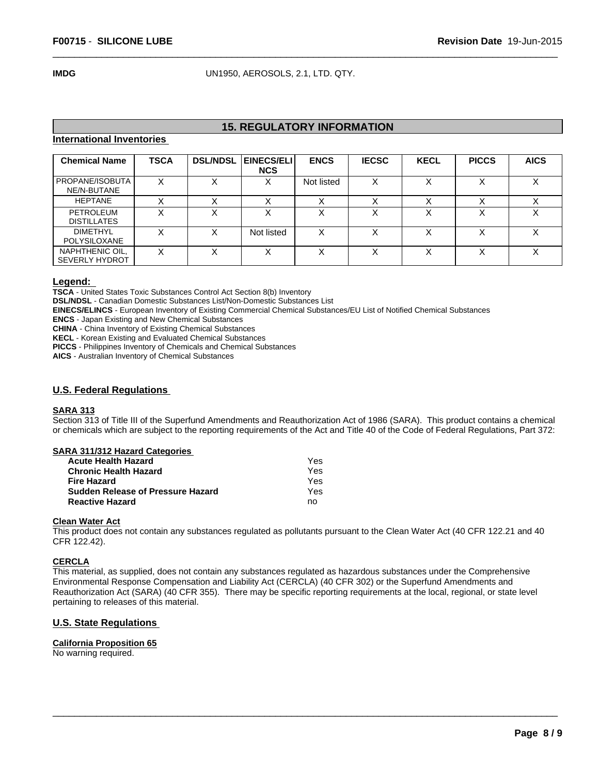**IMDG** UN1950, AEROSOLS, 2.1, LTD. QTY.

# **15. REGULATORY INFORMATION**

#### **International Inventories**

| <b>Chemical Name</b>                     | <b>TSCA</b> | <b>DSL/NDSL</b> | <b>EINECS/ELI</b> I<br><b>NCS</b> | <b>ENCS</b> | <b>IECSC</b> | <b>KECL</b>       | <b>PICCS</b> | <b>AICS</b>       |
|------------------------------------------|-------------|-----------------|-----------------------------------|-------------|--------------|-------------------|--------------|-------------------|
| PROPANE/ISOBUTA<br>NE/N-BUTANE           | х           |                 |                                   | Not listed  | ∧            | $\checkmark$      |              | $\sqrt{}$<br>́    |
| <b>HEPTANE</b>                           |             |                 |                                   |             |              |                   |              |                   |
| <b>PETROLEUM</b><br><b>DISTILLATES</b>   | X           |                 | ⌒                                 |             | ́            | $\check{ }$<br>⋏  |              | $\checkmark$<br>⌒ |
| <b>DIMETHYL</b><br>POLYSILOXANE          | v           |                 | Not listed                        | x           |              | $\checkmark$<br>◠ |              | $\cdot$           |
| NAPHTHENIC OIL,<br><b>SEVERLY HYDROT</b> | X           |                 | ∧                                 |             | ́            | $\check{ }$<br>⌒  |              | ⌒                 |

#### **Legend:**

**TSCA** - United States Toxic Substances Control Act Section 8(b) Inventory

**DSL/NDSL** - Canadian Domestic Substances List/Non-Domestic Substances List

**EINECS/ELINCS** - European Inventory of Existing Commercial Chemical Substances/EU List of Notified Chemical Substances

**ENCS** - Japan Existing and New Chemical Substances

**CHINA** - China Inventory of Existing Chemical Substances

**KECL** - Korean Existing and Evaluated Chemical Substances

**PICCS** - Philippines Inventory of Chemicals and Chemical Substances

**AICS** - Australian Inventory of Chemical Substances

### **U.S. Federal Regulations**

#### **SARA 313**

Section 313 of Title III of the Superfund Amendments and Reauthorization Act of 1986 (SARA). This product contains a chemical or chemicals which are subject to the reporting requirements of the Act and Title 40 of the Code of Federal Regulations, Part 372:

| SARA 311/312 Hazard Categories |     |
|--------------------------------|-----|
| <b>Acute Health Hazard</b>     | Yes |

| .   |
|-----|
| Yes |
| Yes |
| Yes |
| no  |
|     |

# **Clean Water Act**

This product does not contain any substances regulated as pollutants pursuant to the Clean Water Act (40 CFR 122.21 and 40 CFR 122.42).

#### **CERCLA**

This material, as supplied, does not contain any substances regulated as hazardous substances under the Comprehensive Environmental Response Compensation and Liability Act (CERCLA) (40 CFR 302) or the Superfund Amendments and Reauthorization Act (SARA) (40 CFR 355). There may be specific reporting requirements at the local, regional, or state level pertaining to releases of this material.

 $\overline{\phantom{a}}$  ,  $\overline{\phantom{a}}$  ,  $\overline{\phantom{a}}$  ,  $\overline{\phantom{a}}$  ,  $\overline{\phantom{a}}$  ,  $\overline{\phantom{a}}$  ,  $\overline{\phantom{a}}$  ,  $\overline{\phantom{a}}$  ,  $\overline{\phantom{a}}$  ,  $\overline{\phantom{a}}$  ,  $\overline{\phantom{a}}$  ,  $\overline{\phantom{a}}$  ,  $\overline{\phantom{a}}$  ,  $\overline{\phantom{a}}$  ,  $\overline{\phantom{a}}$  ,  $\overline{\phantom{a}}$ 

### **U.S. State Regulations**

#### **California Proposition 65**

No warning required.